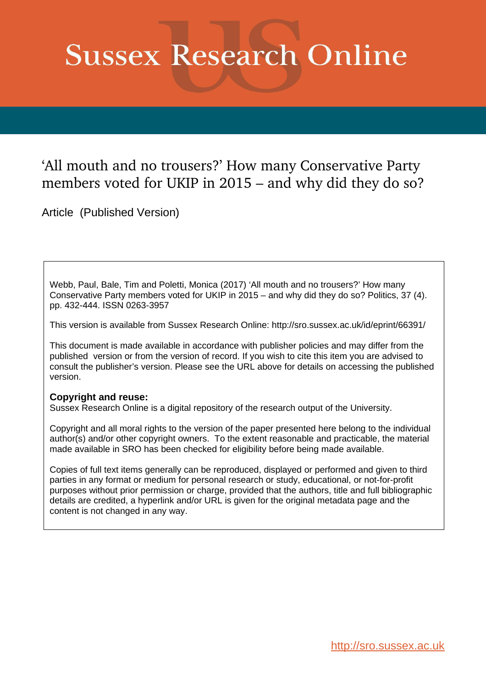# **Sussex Research Online**

# 'All mouth and no trousers?' How many Conservative Party members voted for UKIP in 2015 – and why did they do so?

Article (Published Version)

Webb, Paul, Bale, Tim and Poletti, Monica (2017) 'All mouth and no trousers?' How many Conservative Party members voted for UKIP in 2015 – and why did they do so? Politics, 37 (4). pp. 432-444. ISSN 0263-3957

This version is available from Sussex Research Online: http://sro.sussex.ac.uk/id/eprint/66391/

This document is made available in accordance with publisher policies and may differ from the published version or from the version of record. If you wish to cite this item you are advised to consult the publisher's version. Please see the URL above for details on accessing the published version.

# **Copyright and reuse:**

Sussex Research Online is a digital repository of the research output of the University.

Copyright and all moral rights to the version of the paper presented here belong to the individual author(s) and/or other copyright owners. To the extent reasonable and practicable, the material made available in SRO has been checked for eligibility before being made available.

Copies of full text items generally can be reproduced, displayed or performed and given to third parties in any format or medium for personal research or study, educational, or not-for-profit purposes without prior permission or charge, provided that the authors, title and full bibliographic details are credited, a hyperlink and/or URL is given for the original metadata page and the content is not changed in any way.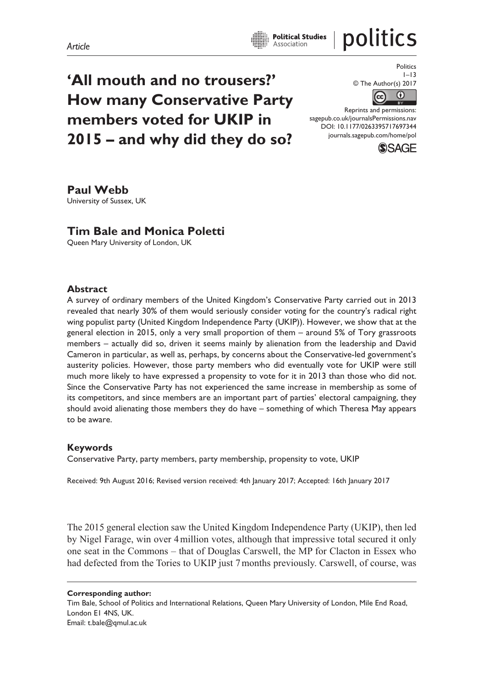*Article*

politics

# **'All mouth and no trousers?' How many Conservative Party members voted for UKIP in 2015 – and why did they do so?**

Politics  $1 - 13$ © The Author(s) 2017



Reprints and permissions: [sagepub.co.uk/journalsPermissions.nav](https://uk.sagepub.com/en-gb/journals-permissions) [DOI: 10.1177/0263395717697344](http://doi.org/10.1177/0263395717697344) [journals.sagepub.com/home/pol](https://journals.sagepub.com/home/pol)



**Paul Webb** University of Sussex, UK

# **Tim Bale and Monica Poletti**

Queen Mary University of London, UK

#### **Abstract**

A survey of ordinary members of the United Kingdom's Conservative Party carried out in 2013 revealed that nearly 30% of them would seriously consider voting for the country's radical right wing populist party (United Kingdom Independence Party (UKIP)). However, we show that at the general election in 2015, only a very small proportion of them – around 5% of Tory grassroots members – actually did so, driven it seems mainly by alienation from the leadership and David Cameron in particular, as well as, perhaps, by concerns about the Conservative-led government's austerity policies. However, those party members who did eventually vote for UKIP were still much more likely to have expressed a propensity to vote for it in 2013 than those who did not. Since the Conservative Party has not experienced the same increase in membership as some of its competitors, and since members are an important part of parties' electoral campaigning, they should avoid alienating those members they do have – something of which Theresa May appears to be aware.

#### **Keywords**

Conservative Party, party members, party membership, propensity to vote, UKIP

Received: 9th August 2016; Revised version received: 4th January 2017; Accepted: 16th January 2017

The 2015 general election saw the United Kingdom Independence Party (UKIP), then led by Nigel Farage, win over 4million votes, although that impressive total secured it only one seat in the Commons – that of Douglas Carswell, the MP for Clacton in Essex who had defected from the Tories to UKIP just 7months previously. Carswell, of course, was

**Corresponding author:** Tim Bale, School of Politics and International Relations, Queen Mary University of London, Mile End Road, London E1 4NS, UK. Email: [t.bale@qmul.ac.uk](mailto:t.bale@qmul.ac.uk)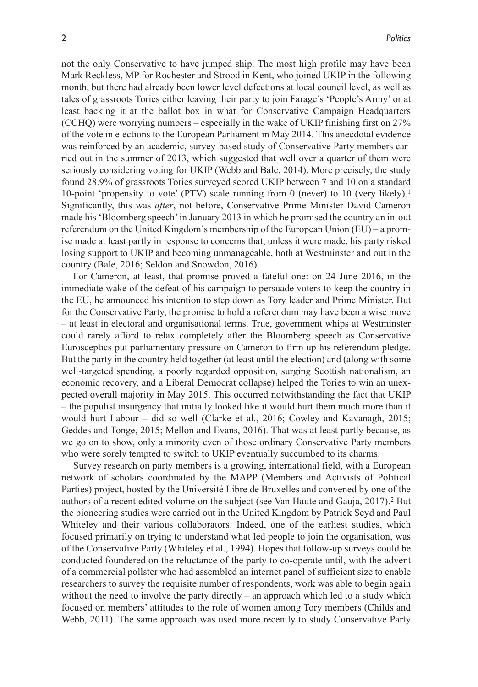not the only Conservative to have jumped ship. The most high profile may have been Mark Reckless, MP for Rochester and Strood in Kent, who joined UKIP in the following month, but there had already been lower level defections at local council level, as well as tales of grassroots Tories either leaving their party to join Farage's 'People's Army' or at least backing it at the ballot box in what for Conservative Campaign Headquarters (CCHQ) were worrying numbers – especially in the wake of UKIP finishing first on 27% of the vote in elections to the European Parliament in May 2014. This anecdotal evidence was reinforced by an academic, survey-based study of Conservative Party members carried out in the summer of 2013, which suggested that well over a quarter of them were seriously considering voting for UKIP (Webb and Bale, 2014). More precisely, the study found 28.9% of grassroots Tories surveyed scored UKIP between 7 and 10 on a standard 10-point 'propensity to vote' (PTV) scale running from 0 (never) to 10 (very likely).<sup>1</sup> Significantly, this was *after*, not before, Conservative Prime Minister David Cameron made his 'Bloomberg speech' in January 2013 in which he promised the country an in-out referendum on the United Kingdom's membership of the European Union (EU) – a promise made at least partly in response to concerns that, unless it were made, his party risked losing support to UKIP and becoming unmanageable, both at Westminster and out in the country (Bale, 2016; Seldon and Snowdon, 2016).

For Cameron, at least, that promise proved a fateful one: on 24 June 2016, in the immediate wake of the defeat of his campaign to persuade voters to keep the country in the EU, he announced his intention to step down as Tory leader and Prime Minister. But for the Conservative Party, the promise to hold a referendum may have been a wise move – at least in electoral and organisational terms. True, government whips at Westminster could rarely afford to relax completely after the Bloomberg speech as Conservative Eurosceptics put parliamentary pressure on Cameron to firm up his referendum pledge. But the party in the country held together (at least until the election) and (along with some well-targeted spending, a poorly regarded opposition, surging Scottish nationalism, an economic recovery, and a Liberal Democrat collapse) helped the Tories to win an unexpected overall majority in May 2015. This occurred notwithstanding the fact that UKIP – the populist insurgency that initially looked like it would hurt them much more than it would hurt Labour – did so well (Clarke et al., 2016; Cowley and Kavanagh, 2015; Geddes and Tonge, 2015; Mellon and Evans, 2016). That was at least partly because, as we go on to show, only a minority even of those ordinary Conservative Party members who were sorely tempted to switch to UKIP eventually succumbed to its charms.

Survey research on party members is a growing, international field, with a European network of scholars coordinated by the MAPP (Members and Activists of Political Parties) project, hosted by the Université Libre de Bruxelles and convened by one of the authors of a recent edited volume on the subject (see Van Haute and Gauja, 2017).2 But the pioneering studies were carried out in the United Kingdom by Patrick Seyd and Paul Whiteley and their various collaborators. Indeed, one of the earliest studies, which focused primarily on trying to understand what led people to join the organisation, was of the Conservative Party (Whiteley et al., 1994). Hopes that follow-up surveys could be conducted foundered on the reluctance of the party to co-operate until, with the advent of a commercial pollster who had assembled an internet panel of sufficient size to enable researchers to survey the requisite number of respondents, work was able to begin again without the need to involve the party directly – an approach which led to a study which focused on members' attitudes to the role of women among Tory members (Childs and Webb, 2011). The same approach was used more recently to study Conservative Party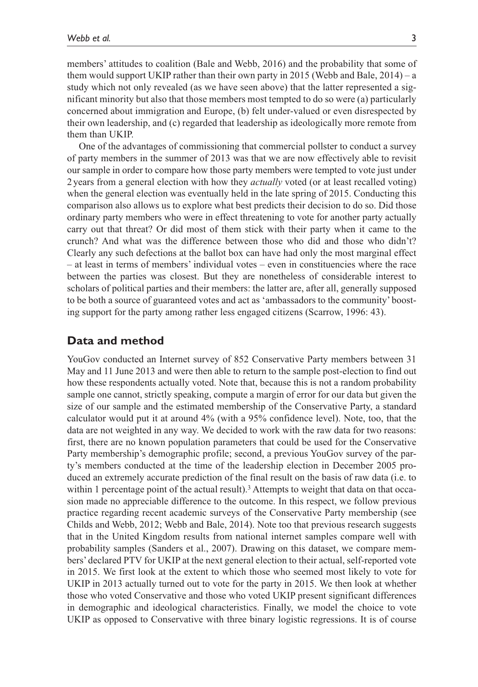members' attitudes to coalition (Bale and Webb, 2016) and the probability that some of them would support UKIP rather than their own party in 2015 (Webb and Bale, 2014) – a study which not only revealed (as we have seen above) that the latter represented a significant minority but also that those members most tempted to do so were (a) particularly concerned about immigration and Europe, (b) felt under-valued or even disrespected by their own leadership, and (c) regarded that leadership as ideologically more remote from them than UKIP.

One of the advantages of commissioning that commercial pollster to conduct a survey of party members in the summer of 2013 was that we are now effectively able to revisit our sample in order to compare how those party members were tempted to vote just under 2years from a general election with how they *actually* voted (or at least recalled voting) when the general election was eventually held in the late spring of 2015. Conducting this comparison also allows us to explore what best predicts their decision to do so. Did those ordinary party members who were in effect threatening to vote for another party actually carry out that threat? Or did most of them stick with their party when it came to the crunch? And what was the difference between those who did and those who didn't? Clearly any such defections at the ballot box can have had only the most marginal effect – at least in terms of members' individual votes – even in constituencies where the race between the parties was closest. But they are nonetheless of considerable interest to scholars of political parties and their members: the latter are, after all, generally supposed to be both a source of guaranteed votes and act as 'ambassadors to the community' boosting support for the party among rather less engaged citizens (Scarrow, 1996: 43).

## **Data and method**

YouGov conducted an Internet survey of 852 Conservative Party members between 31 May and 11 June 2013 and were then able to return to the sample post-election to find out how these respondents actually voted. Note that, because this is not a random probability sample one cannot, strictly speaking, compute a margin of error for our data but given the size of our sample and the estimated membership of the Conservative Party, a standard calculator would put it at around 4% (with a 95% confidence level). Note, too, that the data are not weighted in any way. We decided to work with the raw data for two reasons: first, there are no known population parameters that could be used for the Conservative Party membership's demographic profile; second, a previous YouGov survey of the party's members conducted at the time of the leadership election in December 2005 produced an extremely accurate prediction of the final result on the basis of raw data (i.e. to within 1 percentage point of the actual result).<sup>3</sup> Attempts to weight that data on that occasion made no appreciable difference to the outcome. In this respect, we follow previous practice regarding recent academic surveys of the Conservative Party membership (see Childs and Webb, 2012; Webb and Bale, 2014). Note too that previous research suggests that in the United Kingdom results from national internet samples compare well with probability samples (Sanders et al., 2007). Drawing on this dataset, we compare members' declared PTV for UKIP at the next general election to their actual, self-reported vote in 2015. We first look at the extent to which those who seemed most likely to vote for UKIP in 2013 actually turned out to vote for the party in 2015. We then look at whether those who voted Conservative and those who voted UKIP present significant differences in demographic and ideological characteristics. Finally, we model the choice to vote UKIP as opposed to Conservative with three binary logistic regressions. It is of course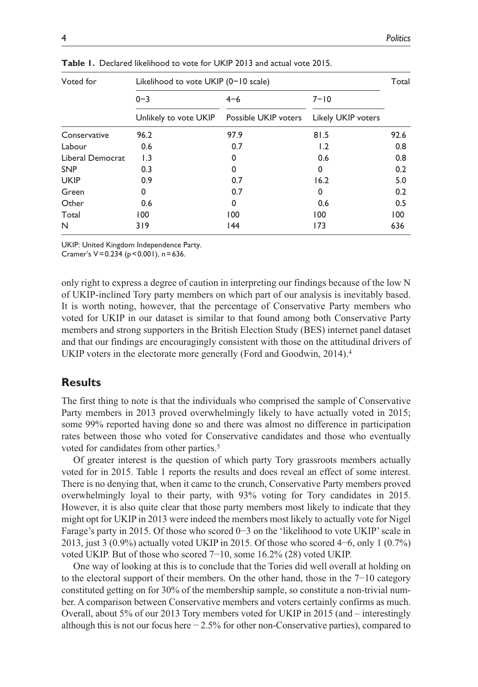| Voted for        | Likelihood to vote UKIP $(0-10 \text{ scale})$        |         |                                       |     |
|------------------|-------------------------------------------------------|---------|---------------------------------------|-----|
|                  | $0 - 3$<br>Unlikely to vote UKIP Possible UKIP voters | $4 - 6$ | $7 - 10$<br><b>Likely UKIP voters</b> |     |
|                  |                                                       |         |                                       |     |
| Labour           | 0.6                                                   | 0.7     | 1.2                                   | 0.8 |
| Liberal Democrat | $\overline{1.3}$                                      | 0       | 0.6                                   | 0.8 |
| <b>SNP</b>       | 0.3                                                   | 0       | 0                                     | 0.2 |
| <b>UKIP</b>      | 0.9                                                   | 0.7     | 16.2                                  | 5.0 |
| Green            | 0                                                     | 0.7     | 0                                     | 0.2 |
| Other            | 0.6                                                   | 0       | 0.6                                   | 0.5 |
| Total            | 100                                                   | 100     | 100                                   | 100 |
| N                | 319                                                   | 144     | 173                                   | 636 |

**Table 1.** Declared likelihood to vote for UKIP 2013 and actual vote 2015.

UKIP: United Kingdom Independence Party.

Cramer's V=0.234 (p<0.001), n=636.

only right to express a degree of caution in interpreting our findings because of the low N of UKIP-inclined Tory party members on which part of our analysis is inevitably based. It is worth noting, however, that the percentage of Conservative Party members who voted for UKIP in our dataset is similar to that found among both Conservative Party members and strong supporters in the British Election Study (BES) internet panel dataset and that our findings are encouragingly consistent with those on the attitudinal drivers of UKIP voters in the electorate more generally (Ford and Goodwin, 2014).4

## **Results**

The first thing to note is that the individuals who comprised the sample of Conservative Party members in 2013 proved overwhelmingly likely to have actually voted in 2015; some 99% reported having done so and there was almost no difference in participation rates between those who voted for Conservative candidates and those who eventually voted for candidates from other parties.<sup>5</sup>

Of greater interest is the question of which party Tory grassroots members actually voted for in 2015. Table 1 reports the results and does reveal an effect of some interest. There is no denying that, when it came to the crunch, Conservative Party members proved overwhelmingly loyal to their party, with 93% voting for Tory candidates in 2015. However, it is also quite clear that those party members most likely to indicate that they might opt for UKIP in 2013 were indeed the members most likely to actually vote for Nigel Farage's party in 2015. Of those who scored 0−3 on the 'likelihood to vote UKIP' scale in 2013, just 3 (0.9%) actually voted UKIP in 2015. Of those who scored 4−6, only 1 (0.7%) voted UKIP. But of those who scored 7−10, some 16.2% (28) voted UKIP.

One way of looking at this is to conclude that the Tories did well overall at holding on to the electoral support of their members. On the other hand, those in the 7−10 category constituted getting on for 30% of the membership sample, so constitute a non-trivial number. A comparison between Conservative members and voters certainly confirms as much. Overall, about 5% of our 2013 Tory members voted for UKIP in 2015 (and – interestingly although this is not our focus here − 2.5% for other non-Conservative parties), compared to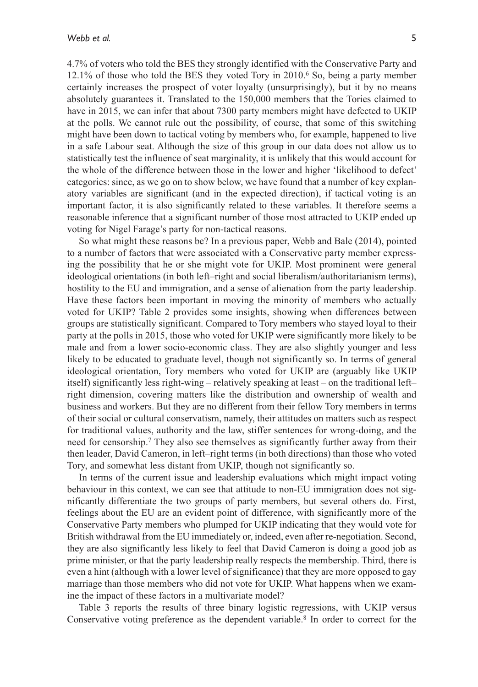4.7% of voters who told the BES they strongly identified with the Conservative Party and 12.1% of those who told the BES they voted Tory in 2010.6 So, being a party member certainly increases the prospect of voter loyalty (unsurprisingly), but it by no means absolutely guarantees it. Translated to the 150,000 members that the Tories claimed to have in 2015, we can infer that about 7300 party members might have defected to UKIP at the polls. We cannot rule out the possibility, of course, that some of this switching might have been down to tactical voting by members who, for example, happened to live in a safe Labour seat. Although the size of this group in our data does not allow us to statistically test the influence of seat marginality, it is unlikely that this would account for the whole of the difference between those in the lower and higher 'likelihood to defect' categories: since, as we go on to show below, we have found that a number of key explanatory variables are significant (and in the expected direction), if tactical voting is an important factor, it is also significantly related to these variables. It therefore seems a reasonable inference that a significant number of those most attracted to UKIP ended up voting for Nigel Farage's party for non-tactical reasons.

So what might these reasons be? In a previous paper, Webb and Bale (2014), pointed to a number of factors that were associated with a Conservative party member expressing the possibility that he or she might vote for UKIP. Most prominent were general ideological orientations (in both left–right and social liberalism/authoritarianism terms), hostility to the EU and immigration, and a sense of alienation from the party leadership. Have these factors been important in moving the minority of members who actually voted for UKIP? Table 2 provides some insights, showing when differences between groups are statistically significant. Compared to Tory members who stayed loyal to their party at the polls in 2015, those who voted for UKIP were significantly more likely to be male and from a lower socio-economic class. They are also slightly younger and less likely to be educated to graduate level, though not significantly so. In terms of general ideological orientation, Tory members who voted for UKIP are (arguably like UKIP itself) significantly less right-wing – relatively speaking at least – on the traditional left– right dimension, covering matters like the distribution and ownership of wealth and business and workers. But they are no different from their fellow Tory members in terms of their social or cultural conservatism, namely, their attitudes on matters such as respect for traditional values, authority and the law, stiffer sentences for wrong-doing, and the need for censorship.7 They also see themselves as significantly further away from their then leader, David Cameron, in left–right terms (in both directions) than those who voted Tory, and somewhat less distant from UKIP, though not significantly so.

In terms of the current issue and leadership evaluations which might impact voting behaviour in this context, we can see that attitude to non-EU immigration does not significantly differentiate the two groups of party members, but several others do. First, feelings about the EU are an evident point of difference, with significantly more of the Conservative Party members who plumped for UKIP indicating that they would vote for British withdrawal from the EU immediately or, indeed, even after re-negotiation. Second, they are also significantly less likely to feel that David Cameron is doing a good job as prime minister, or that the party leadership really respects the membership. Third, there is even a hint (although with a lower level of significance) that they are more opposed to gay marriage than those members who did not vote for UKIP. What happens when we examine the impact of these factors in a multivariate model?

Table 3 reports the results of three binary logistic regressions, with UKIP versus Conservative voting preference as the dependent variable.<sup>8</sup> In order to correct for the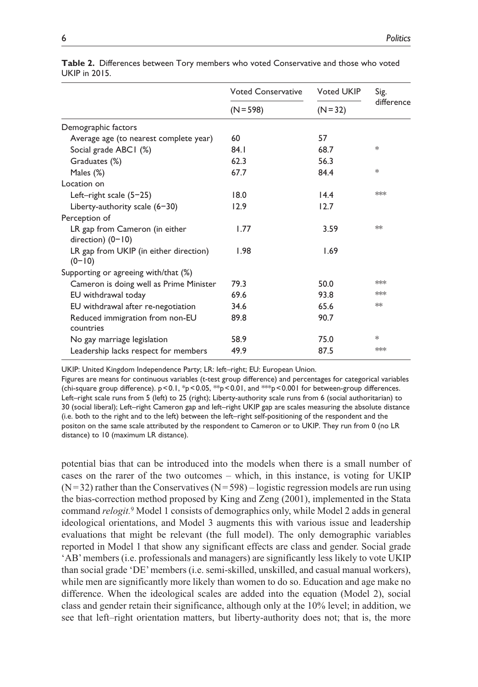|                                                       | <b>Voted Conservative</b> | Voted UKIP<br>$(N = 32)$ | Sig.<br>difference |
|-------------------------------------------------------|---------------------------|--------------------------|--------------------|
|                                                       | $(N = 598)$               |                          |                    |
| Demographic factors                                   |                           |                          |                    |
| Average age (to nearest complete year)                | 60                        | 57                       |                    |
| Social grade ABC1 (%)                                 | 84.1                      | 68.7                     | $*$                |
| Graduates (%)                                         | 62.3                      | 56.3                     |                    |
| Males (%)                                             | 67.7                      | 84.4                     | $\ast$             |
| Location on                                           |                           |                          |                    |
| Left-right scale $(5-25)$                             | 18.0                      | 14.4                     | $**$               |
| Liberty-authority scale $(6-30)$                      | 12.9                      | 12.7                     |                    |
| Perception of                                         |                           |                          |                    |
| LR gap from Cameron (in either<br>direction) $(0-10)$ | 1.77                      | 3.59                     | $*$                |
| LR gap from UKIP (in either direction)<br>$(0 - 10)$  | 1.98                      | 1.69                     |                    |
| Supporting or agreeing with/that (%)                  |                           |                          |                    |
| Cameron is doing well as Prime Minister               | 79.3                      | 50.0                     | $*$                |
| EU withdrawal today                                   | 69.6                      | 93.8                     | **                 |
| EU withdrawal after re-negotiation                    | 34.6                      | 65.6                     | $*$                |
| Reduced immigration from non-EU<br>countries          | 89.8                      | 90.7                     |                    |
| No gay marriage legislation                           | 58.9                      | 75.0                     | $\ast$             |
| Leadership lacks respect for members                  | 49.9                      | 87.5                     | **                 |

**Table 2.** Differences between Tory members who voted Conservative and those who voted UKIP in 2015.

UKIP: United Kingdom Independence Party; LR: left–right; EU: European Union.

Figures are means for continuous variables (t-test group difference) and percentages for categorical variables (chi-square group difference).  $p < 0.1$ , \*p $< 0.05$ , \*\*p $< 0.01$ , and \*\*p $< 0.001$  for between-group differences. Left–right scale runs from 5 (left) to 25 (right); Liberty-authority scale runs from 6 (social authoritarian) to 30 (social liberal); Left–right Cameron gap and left–right UKIP gap are scales measuring the absolute distance (i.e. both to the right and to the left) between the left–right self-positioning of the respondent and the positon on the same scale attributed by the respondent to Cameron or to UKIP. They run from 0 (no LR distance) to 10 (maximum LR distance).

potential bias that can be introduced into the models when there is a small number of cases on the rarer of the two outcomes – which, in this instance, is voting for UKIP  $(N=32)$  rather than the Conservatives  $(N=598)$  – logistic regression models are run using the bias-correction method proposed by King and Zeng (2001), implemented in the Stata command *relogit.*9 Model 1 consists of demographics only, while Model 2 adds in general ideological orientations, and Model 3 augments this with various issue and leadership evaluations that might be relevant (the full model). The only demographic variables reported in Model 1 that show any significant effects are class and gender. Social grade 'AB' members (i.e. professionals and managers) are significantly less likely to vote UKIP than social grade 'DE' members (i.e. semi-skilled, unskilled, and casual manual workers), while men are significantly more likely than women to do so. Education and age make no difference. When the ideological scales are added into the equation (Model 2), social class and gender retain their significance, although only at the 10% level; in addition, we see that left–right orientation matters, but liberty-authority does not; that is, the more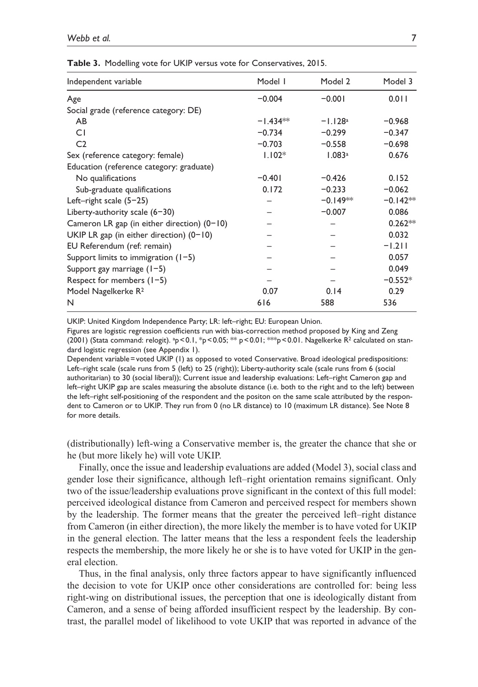| Independent variable                          | Model I    | Model 2               | Model 3    |
|-----------------------------------------------|------------|-----------------------|------------|
| Age                                           | $-0.004$   | $-0.001$              | 0.011      |
| Social grade (reference category: DE)         |            |                       |            |
| AB                                            | $-1.434**$ | $-1.128$ <sup>a</sup> | $-0.968$   |
| C1                                            | $-0.734$   | $-0.299$              | $-0.347$   |
| C <sub>2</sub>                                | $-0.703$   | $-0.558$              | $-0.698$   |
| Sex (reference category: female)              | $1.102*$   | 1.083a                | 0.676      |
| Education (reference category: graduate)      |            |                       |            |
| No qualifications                             | $-0.401$   | $-0.426$              | 0.152      |
| Sub-graduate qualifications                   | 0.172      | $-0.233$              | $-0.062$   |
| Left-right scale $(5-25)$                     |            | $-0.149**$            | $-0.142**$ |
| Liberty-authority scale (6-30)                |            | $-0.007$              | 0.086      |
| Cameron LR gap (in either direction) $(0-10)$ |            |                       | $0.262**$  |
| UKIP LR gap (in either direction) $(0-10)$    |            |                       | 0.032      |
| EU Referendum (ref: remain)                   |            |                       | $-1.211$   |
| Support limits to immigration $(1-5)$         |            |                       | 0.057      |
| Support gay marriage (1-5)                    |            |                       | 0.049      |
| Respect for members $(1-5)$                   |            |                       | $-0.552*$  |
| Model Nagelkerke R <sup>2</sup>               | 0.07       | 0.14                  | 0.29       |
| N                                             | 616        | 588                   | 536        |
|                                               |            |                       |            |

**Table 3.** Modelling vote for UKIP versus vote for Conservatives, 2015.

UKIP: United Kingdom Independence Party; LR: left–right; EU: European Union.

Figures are logistic regression coefficients run with bias-correction method proposed by King and Zeng (2001) (Stata command: relogit). 4p<0.1, \*p<0.05; \*\* p<0.01; \*\*p<0.01. Nagelkerke R<sup>2</sup> calculated on standard logistic regression (see Appendix 1).

Dependent variable=voted UKIP (1) as opposed to voted Conservative. Broad ideological predispositions: Left–right scale (scale runs from 5 (left) to 25 (right)); Liberty-authority scale (scale runs from 6 (social authoritarian) to 30 (social liberal)); Current issue and leadership evaluations: Left–right Cameron gap and left–right UKIP gap are scales measuring the absolute distance (i.e. both to the right and to the left) between the left–right self-positioning of the respondent and the positon on the same scale attributed by the respondent to Cameron or to UKIP. They run from 0 (no LR distance) to 10 (maximum LR distance). See Note 8 for more details.

(distributionally) left-wing a Conservative member is, the greater the chance that she or he (but more likely he) will vote UKIP.

Finally, once the issue and leadership evaluations are added (Model 3), social class and gender lose their significance, although left–right orientation remains significant. Only two of the issue/leadership evaluations prove significant in the context of this full model: perceived ideological distance from Cameron and perceived respect for members shown by the leadership. The former means that the greater the perceived left–right distance from Cameron (in either direction), the more likely the member is to have voted for UKIP in the general election. The latter means that the less a respondent feels the leadership respects the membership, the more likely he or she is to have voted for UKIP in the general election.

Thus, in the final analysis, only three factors appear to have significantly influenced the decision to vote for UKIP once other considerations are controlled for: being less right-wing on distributional issues, the perception that one is ideologically distant from Cameron, and a sense of being afforded insufficient respect by the leadership. By contrast, the parallel model of likelihood to vote UKIP that was reported in advance of the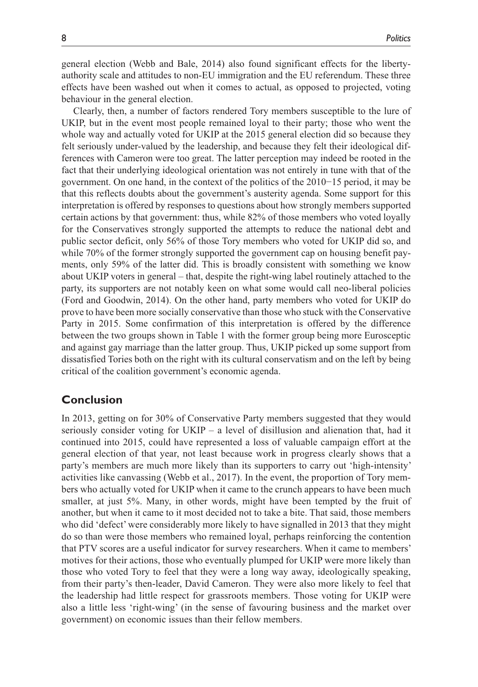general election (Webb and Bale, 2014) also found significant effects for the libertyauthority scale and attitudes to non-EU immigration and the EU referendum. These three effects have been washed out when it comes to actual, as opposed to projected, voting behaviour in the general election.

Clearly, then, a number of factors rendered Tory members susceptible to the lure of UKIP, but in the event most people remained loyal to their party; those who went the whole way and actually voted for UKIP at the 2015 general election did so because they felt seriously under-valued by the leadership, and because they felt their ideological differences with Cameron were too great. The latter perception may indeed be rooted in the fact that their underlying ideological orientation was not entirely in tune with that of the government. On one hand, in the context of the politics of the 2010−15 period, it may be that this reflects doubts about the government's austerity agenda. Some support for this interpretation is offered by responses to questions about how strongly members supported certain actions by that government: thus, while 82% of those members who voted loyally for the Conservatives strongly supported the attempts to reduce the national debt and public sector deficit, only 56% of those Tory members who voted for UKIP did so, and while 70% of the former strongly supported the government cap on housing benefit payments, only 59% of the latter did. This is broadly consistent with something we know about UKIP voters in general – that, despite the right-wing label routinely attached to the party, its supporters are not notably keen on what some would call neo-liberal policies (Ford and Goodwin, 2014). On the other hand, party members who voted for UKIP do prove to have been more socially conservative than those who stuck with the Conservative Party in 2015. Some confirmation of this interpretation is offered by the difference between the two groups shown in Table 1 with the former group being more Eurosceptic and against gay marriage than the latter group. Thus, UKIP picked up some support from dissatisfied Tories both on the right with its cultural conservatism and on the left by being critical of the coalition government's economic agenda.

## **Conclusion**

In 2013, getting on for 30% of Conservative Party members suggested that they would seriously consider voting for UKIP – a level of disillusion and alienation that, had it continued into 2015, could have represented a loss of valuable campaign effort at the general election of that year, not least because work in progress clearly shows that a party's members are much more likely than its supporters to carry out 'high-intensity' activities like canvassing (Webb et al., 2017). In the event, the proportion of Tory members who actually voted for UKIP when it came to the crunch appears to have been much smaller, at just 5%. Many, in other words, might have been tempted by the fruit of another, but when it came to it most decided not to take a bite. That said, those members who did 'defect' were considerably more likely to have signalled in 2013 that they might do so than were those members who remained loyal, perhaps reinforcing the contention that PTV scores are a useful indicator for survey researchers. When it came to members' motives for their actions, those who eventually plumped for UKIP were more likely than those who voted Tory to feel that they were a long way away, ideologically speaking, from their party's then-leader, David Cameron. They were also more likely to feel that the leadership had little respect for grassroots members. Those voting for UKIP were also a little less 'right-wing' (in the sense of favouring business and the market over government) on economic issues than their fellow members.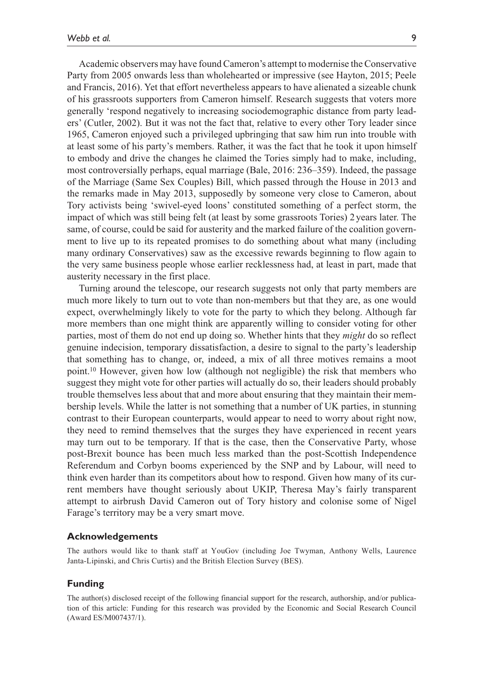Academic observers may have found Cameron's attempt to modernise the Conservative Party from 2005 onwards less than wholehearted or impressive (see Hayton, 2015; Peele and Francis, 2016). Yet that effort nevertheless appears to have alienated a sizeable chunk of his grassroots supporters from Cameron himself. Research suggests that voters more generally 'respond negatively to increasing sociodemographic distance from party leaders' (Cutler, 2002). But it was not the fact that, relative to every other Tory leader since 1965, Cameron enjoyed such a privileged upbringing that saw him run into trouble with at least some of his party's members. Rather, it was the fact that he took it upon himself to embody and drive the changes he claimed the Tories simply had to make, including, most controversially perhaps, equal marriage (Bale, 2016: 236–359). Indeed, the passage of the Marriage (Same Sex Couples) Bill, which passed through the House in 2013 and the remarks made in May 2013, supposedly by someone very close to Cameron, about Tory activists being 'swivel-eyed loons' constituted something of a perfect storm, the impact of which was still being felt (at least by some grassroots Tories) 2 years later. The same, of course, could be said for austerity and the marked failure of the coalition government to live up to its repeated promises to do something about what many (including many ordinary Conservatives) saw as the excessive rewards beginning to flow again to the very same business people whose earlier recklessness had, at least in part, made that austerity necessary in the first place.

Turning around the telescope, our research suggests not only that party members are much more likely to turn out to vote than non-members but that they are, as one would expect, overwhelmingly likely to vote for the party to which they belong. Although far more members than one might think are apparently willing to consider voting for other parties, most of them do not end up doing so. Whether hints that they *might* do so reflect genuine indecision, temporary dissatisfaction, a desire to signal to the party's leadership that something has to change, or, indeed, a mix of all three motives remains a moot point.10 However, given how low (although not negligible) the risk that members who suggest they might vote for other parties will actually do so, their leaders should probably trouble themselves less about that and more about ensuring that they maintain their membership levels. While the latter is not something that a number of UK parties, in stunning contrast to their European counterparts, would appear to need to worry about right now, they need to remind themselves that the surges they have experienced in recent years may turn out to be temporary. If that is the case, then the Conservative Party, whose post-Brexit bounce has been much less marked than the post-Scottish Independence Referendum and Corbyn booms experienced by the SNP and by Labour, will need to think even harder than its competitors about how to respond. Given how many of its current members have thought seriously about UKIP, Theresa May's fairly transparent attempt to airbrush David Cameron out of Tory history and colonise some of Nigel Farage's territory may be a very smart move.

#### **Acknowledgements**

The authors would like to thank staff at YouGov (including Joe Twyman, Anthony Wells, Laurence Janta-Lipinski, and Chris Curtis) and the British Election Survey (BES).

#### **Funding**

The author(s) disclosed receipt of the following financial support for the research, authorship, and/or publication of this article: Funding for this research was provided by the Economic and Social Research Council (Award ES/M007437/1).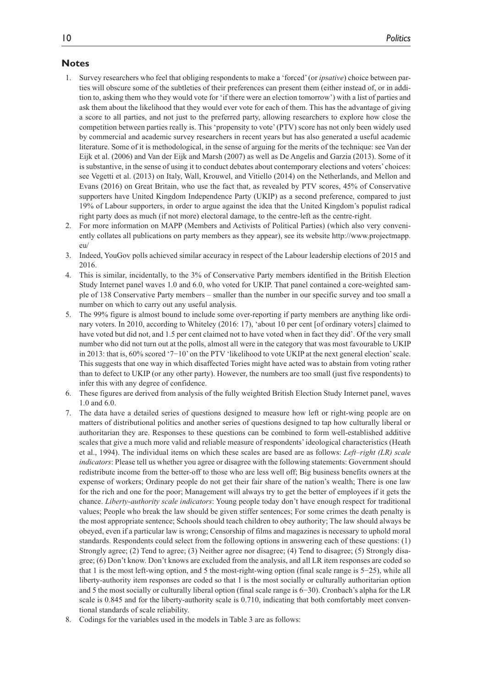#### **Notes**

- 1. Survey researchers who feel that obliging respondents to make a 'forced' (or *ipsative*) choice between parties will obscure some of the subtleties of their preferences can present them (either instead of, or in addition to, asking them who they would vote for 'if there were an election tomorrow') with a list of parties and ask them about the likelihood that they would ever vote for each of them. This has the advantage of giving a score to all parties, and not just to the preferred party, allowing researchers to explore how close the competition between parties really is. This 'propensity to vote' (PTV) score has not only been widely used by commercial and academic survey researchers in recent years but has also generated a useful academic literature. Some of it is methodological, in the sense of arguing for the merits of the technique: see Van der Eijk et al. (2006) and Van der Eijk and Marsh (2007) as well as De Angelis and Garzia (2013). Some of it is substantive, in the sense of using it to conduct debates about contemporary elections and voters' choices: see Vegetti et al. (2013) on Italy, Wall, Krouwel, and Vitiello (2014) on the Netherlands, and Mellon and Evans (2016) on Great Britain, who use the fact that, as revealed by PTV scores, 45% of Conservative supporters have United Kingdom Independence Party (UKIP) as a second preference, compared to just 19% of Labour supporters, in order to argue against the idea that the United Kingdom's populist radical right party does as much (if not more) electoral damage, to the centre-left as the centre-right.
- 2. For more information on MAPP (Members and Activists of Political Parties) (which also very conveniently collates all publications on party members as they appear), see its website [http://www.projectmapp.](http://www.projectmapp.eu/) [eu/](http://www.projectmapp.eu/)
- 3. Indeed, YouGov polls achieved similar accuracy in respect of the Labour leadership elections of 2015 and 2016.
- 4. This is similar, incidentally, to the 3% of Conservative Party members identified in the British Election Study Internet panel waves 1.0 and 6.0, who voted for UKIP. That panel contained a core-weighted sample of 138 Conservative Party members – smaller than the number in our specific survey and too small a number on which to carry out any useful analysis.
- 5. The 99% figure is almost bound to include some over-reporting if party members are anything like ordinary voters. In 2010, according to Whiteley (2016: 17), 'about 10 per cent [of ordinary voters] claimed to have voted but did not, and 1.5 per cent claimed not to have voted when in fact they did'. Of the very small number who did not turn out at the polls, almost all were in the category that was most favourable to UKIP in 2013: that is, 60% scored '7−10' on the PTV 'likelihood to vote UKIP at the next general election' scale. This suggests that one way in which disaffected Tories might have acted was to abstain from voting rather than to defect to UKIP (or any other party). However, the numbers are too small (just five respondents) to infer this with any degree of confidence.
- 6. These figures are derived from analysis of the fully weighted British Election Study Internet panel, waves 1.0 and 6.0.
- 7. The data have a detailed series of questions designed to measure how left or right-wing people are on matters of distributional politics and another series of questions designed to tap how culturally liberal or authoritarian they are. Responses to these questions can be combined to form well-established additive scales that give a much more valid and reliable measure of respondents' ideological characteristics (Heath et al., 1994). The individual items on which these scales are based are as follows: *Left–right (LR) scale indicators*: Please tell us whether you agree or disagree with the following statements: Government should redistribute income from the better-off to those who are less well off; Big business benefits owners at the expense of workers; Ordinary people do not get their fair share of the nation's wealth; There is one law for the rich and one for the poor; Management will always try to get the better of employees if it gets the chance. *Liberty-authority scale indicators*: Young people today don't have enough respect for traditional values; People who break the law should be given stiffer sentences; For some crimes the death penalty is the most appropriate sentence; Schools should teach children to obey authority; The law should always be obeyed, even if a particular law is wrong; Censorship of films and magazines is necessary to uphold moral standards. Respondents could select from the following options in answering each of these questions: (1) Strongly agree; (2) Tend to agree; (3) Neither agree nor disagree; (4) Tend to disagree; (5) Strongly disagree; (6) Don't know. Don't knows are excluded from the analysis, and all LR item responses are coded so that 1 is the most left-wing option, and 5 the most-right-wing option (final scale range is 5−25), while all liberty-authority item responses are coded so that 1 is the most socially or culturally authoritarian option and 5 the most socially or culturally liberal option (final scale range is 6−30). Cronbach's alpha for the LR scale is 0.845 and for the liberty-authority scale is 0.710, indicating that both comfortably meet conventional standards of scale reliability.
- Codings for the variables used in the models in Table 3 are as follows: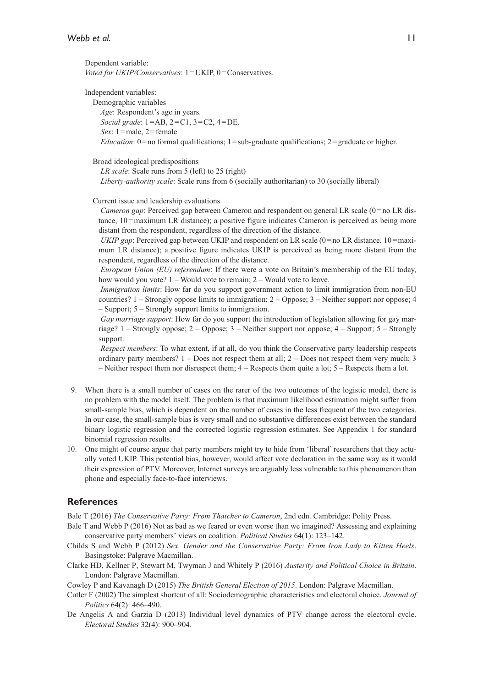Dependent variable: *Voted for UKIP/Conservatives*: 1=UKIP, 0=Conservatives.

Independent variables:

Demographic variables

 *Age*: Respondent's age in years.  *Social grade*: 1=AB, 2=C1, 3=C2, 4=DE. *Sex*:  $1 = male$ ,  $2 = female$ *Education*:  $0 =$ no formal qualifications;  $1 =$ sub-graduate qualifications;  $2 =$ graduate or higher.

Broad ideological predispositions

*LR scale*: Scale runs from 5 (left) to 25 (right)

 *Liberty-authority scale*: Scale runs from 6 (socially authoritarian) to 30 (socially liberal)

Current issue and leadership evaluations

*Cameron gap*: Perceived gap between Cameron and respondent on general LR scale (0=no LR distance, 10=maximum LR distance); a positive figure indicates Cameron is perceived as being more distant from the respondent, regardless of the direction of the distance.

*UKIP gap*: Perceived gap between UKIP and respondent on LR scale (0=no LR distance, 10=maximum LR distance); a positive figure indicates UKIP is perceived as being more distant from the respondent, regardless of the direction of the distance.

 *European Union (EU) referendum*: If there were a vote on Britain's membership of the EU today, how would you vote? 1 – Would vote to remain; 2 – Would vote to leave.

 *Immigration limits*: How far do you support government action to limit immigration from non-EU countries?  $1 -$  Strongly oppose limits to immigration;  $2 -$  Oppose;  $3 -$  Neither support nor oppose; 4 – Support; 5 – Strongly support limits to immigration.

 *Gay marriage support*: How far do you support the introduction of legislation allowing for gay marriage? 1 – Strongly oppose; 2 – Oppose; 3 – Neither support nor oppose; 4 – Support; 5 – Strongly support.

 *Respect members*: To what extent, if at all, do you think the Conservative party leadership respects ordinary party members?  $1 - Does not respect them at all; 2 - Does not respect them very much; 3$ – Neither respect them nor disrespect them;  $4$  – Respects them quite a lot;  $5$  – Respects them a lot.

- 9. When there is a small number of cases on the rarer of the two outcomes of the logistic model, there is no problem with the model itself. The problem is that maximum likelihood estimation might suffer from small-sample bias, which is dependent on the number of cases in the less frequent of the two categories. In our case, the small-sample bias is very small and no substantive differences exist between the standard binary logistic regression and the corrected logistic regression estimates. See Appendix 1 for standard binomial regression results.
- 10. One might of course argue that party members might try to hide from 'liberal' researchers that they actually voted UKIP. This potential bias, however, would affect vote declaration in the same way as it would their expression of PTV. Moreover, Internet surveys are arguably less vulnerable to this phenomenon than phone and especially face-to-face interviews.

#### **References**

Bale T (2016) *The Conservative Party: From Thatcher to Cameron*, 2nd edn. Cambridge: Polity Press.

- Bale T and Webb P (2016) Not as bad as we feared or even worse than we imagined? Assessing and explaining conservative party members' views on coalition. *Political Studies* 64(1): 123–142.
- Childs S and Webb P (2012) *Sex, Gender and the Conservative Party: From Iron Lady to Kitten Heels*. Basingstoke: Palgrave Macmillan.
- Clarke HD, Kellner P, Stewart M, Twyman J and Whitely P (2016) *Austerity and Political Choice in Britain*. London: Palgrave Macmillan.

Cowley P and Kavanagh D (2015) *The British General Election of 2015*. London: Palgrave Macmillan.

- Cutler F (2002) The simplest shortcut of all: Sociodemographic characteristics and electoral choice. *Journal of Politics* 64(2): 466–490.
- De Angelis A and Garzia D (2013) Individual level dynamics of PTV change across the electoral cycle. *Electoral Studies* 32(4): 900–904.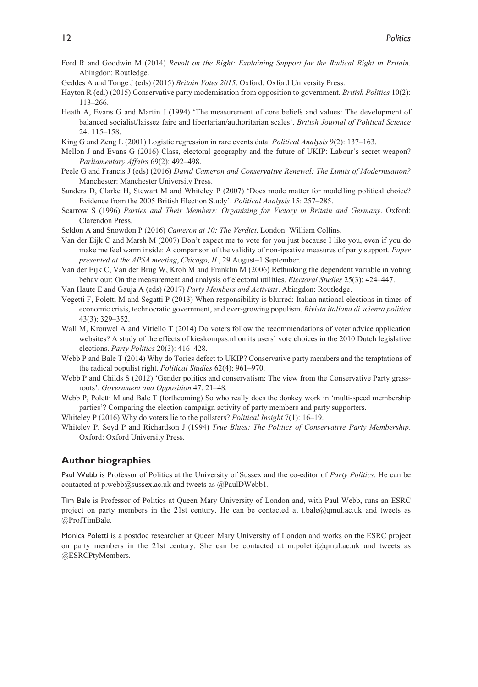- Ford R and Goodwin M (2014) *Revolt on the Right: Explaining Support for the Radical Right in Britain*. Abingdon: Routledge.
- Geddes A and Tonge J (eds) (2015) *Britain Votes 2015*. Oxford: Oxford University Press.
- Hayton R (ed.) (2015) Conservative party modernisation from opposition to government. *British Politics* 10(2): 113–266.
- Heath A, Evans G and Martin J (1994) 'The measurement of core beliefs and values: The development of balanced socialist/laissez faire and libertarian/authoritarian scales'. *British Journal of Political Science* 24: 115–158.
- King G and Zeng L (2001) Logistic regression in rare events data. *Political Analysis* 9(2): 137–163.
- Mellon J and Evans G (2016) Class, electoral geography and the future of UKIP: Labour's secret weapon? *Parliamentary Affairs* 69(2): 492–498.
- Peele G and Francis J (eds) (2016) *David Cameron and Conservative Renewal: The Limits of Modernisation?* Manchester: Manchester University Press.
- Sanders D, Clarke H, Stewart M and Whiteley P (2007) 'Does mode matter for modelling political choice? Evidence from the 2005 British Election Study'. *Political Analysis* 15: 257–285.
- Scarrow S (1996) *Parties and Their Members: Organizing for Victory in Britain and Germany*. Oxford: Clarendon Press.
- Seldon A and Snowdon P (2016) *Cameron at 10: The Verdict*. London: William Collins.
- Van der Eijk C and Marsh M (2007) Don't expect me to vote for you just because I like you, even if you do make me feel warm inside: A comparison of the validity of non-ipsative measures of party support. *Paper presented at the APSA meeting*, *Chicago, IL*, 29 August–1 September.
- Van der Eijk C, Van der Brug W, Kroh M and Franklin M (2006) Rethinking the dependent variable in voting behaviour: On the measurement and analysis of electoral utilities. *Electoral Studies* 25(3): 424–447.
- Van Haute E and Gauja A (eds) (2017) *Party Members and Activists*. Abingdon: Routledge.
- Vegetti F, Poletti M and Segatti P (2013) When responsibility is blurred: Italian national elections in times of economic crisis, technocratic government, and ever-growing populism. *Rivista italiana di scienza politica* 43(3): 329–352.
- Wall M, Krouwel A and Vitiello T (2014) Do voters follow the recommendations of voter advice application websites? A study of the effects of kieskompas.nl on its users' vote choices in the 2010 Dutch legislative elections. *Party Politics* 20(3): 416–428.
- Webb P and Bale T (2014) Why do Tories defect to UKIP? Conservative party members and the temptations of the radical populist right. *Political Studies* 62(4): 961–970.
- Webb P and Childs S (2012) 'Gender politics and conservatism: The view from the Conservative Party grassroots'. *Government and Opposition* 47: 21–48.
- Webb P, Poletti M and Bale T (forthcoming) So who really does the donkey work in 'multi-speed membership parties'? Comparing the election campaign activity of party members and party supporters.

Whiteley P (2016) Why do voters lie to the pollsters? *Political Insight* 7(1): 16–19.

Whiteley P, Seyd P and Richardson J (1994) *True Blues: The Politics of Conservative Party Membership*. Oxford: Oxford University Press.

#### **Author biographies**

Paul Webb is Professor of Politics at the University of Sussex and the co-editor of *Party Politics*. He can be contacted at [p.webb@sussex.ac.uk](mailto:p.webb@sussex.ac.uk) and tweets as @PaulDWebb1.

Tim Bale is Professor of Politics at Queen Mary University of London and, with Paul Webb, runs an ESRC project on party members in the 21st century. He can be contacted at [t.bale@qmul.ac.uk](mailto:t.bale@qmul.ac.uk) and tweets as @ProfTimBale.

Monica Poletti is a postdoc researcher at Queen Mary University of London and works on the ESRC project on party members in the 21st century. She can be contacted at [m.poletti@qmul.ac.uk](mailto:m.poletti@qmul.ac.uk) and tweets as @ESRCPtyMembers.